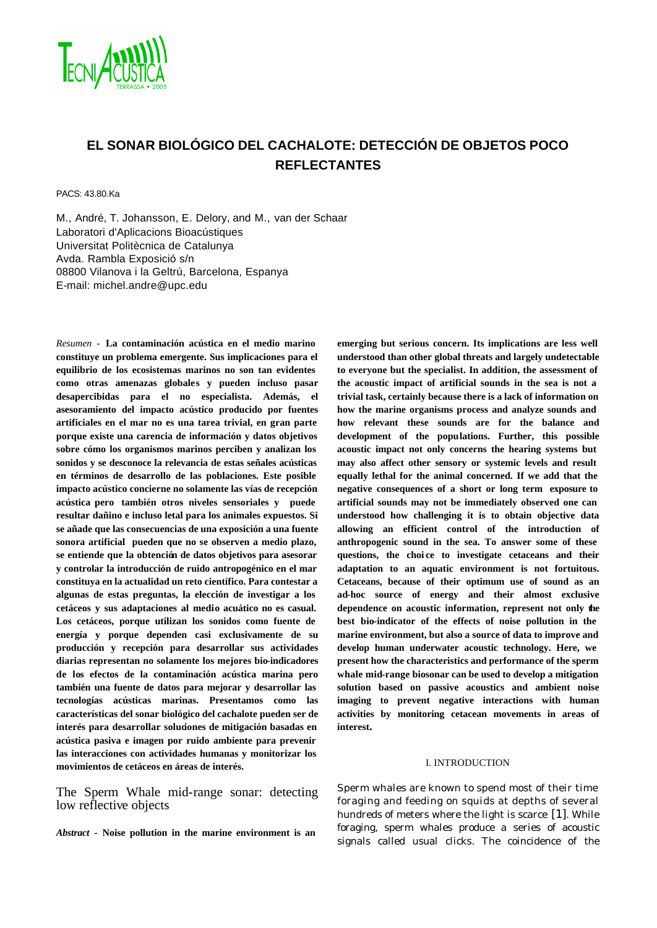

# **EL SONAR BIOLÓGICO DEL CACHALOTE: DETECCIÓN DE OBJETOS POCO REFLECTANTES**

PACS: 43.80.Ka

M., André, T. Johansson, E. Delory, and M., van der Schaar Laboratori d'Aplicacions Bioacústiques Universitat Politècnica de Catalunya Avda. Rambla Exposició s/n 08800 Vilanova i la Geltrú, Barcelona, Espanya. E-mail: michel.andre@upc.edu

*Resumen -* **La contaminación acústica en el medio marino constituye un problema emergente. Sus implicaciones para el equilibrio de los ecosistemas marinos no son tan evidentes como otras amenazas globales y pueden incluso pasar desapercibidas para el no especialista. Además, el asesoramiento del impacto acústico producido por fuentes artificiales en el mar no es una tarea trivial, en gran parte porque existe una carencia de información y datos objetivos sobre cómo los organismos marinos perciben y analizan los sonidos y se desconoce la relevancia de estas señales acústicas en términos de desarrollo de las poblaciones. Este posible impacto acústico concierne no solamente las vías de recepción acústica pero también otros niveles sensoriales y puede resultar dañino e incluso letal para los animales expuestos. Si se añade que las consecuencias de una exposición a una fuente sonora artificial pueden que no se observen a medio plazo, se entiende que la obtención de datos objetivos para asesorar y controlar la introducción de ruido antropogénico en el mar constituya en la actualidad un reto científico. Para contestar a algunas de estas preguntas, la elección de investigar a los cetáceos y sus adaptaciones al medio acuático no es casual. Los cetáceos, porque utilizan los sonidos como fuente de energía y porque dependen casi exclusivamente de su producción y recepción para desarrollar sus actividades diarias representan no solamente los mejores bio-indicadores de los efectos de la contaminación acústica marina pero también una fuente de datos para mejorar y desarrollar las tecnologías acústicas marinas. Presentamos como las características del sonar biológico del cachalote pueden ser de interés para desarrollar soluciones de mitigación basadas en acústica pasiva e imagen por ruido ambiente para prevenir las interacciones con actividades humanas y monitorizar los movimientos de cetáceos en áreas de interés.**

The Sperm Whale mid-range sonar: detecting low reflective objects

*Abstract* **- Noise pollution in the marine environment is an** 

**emerging but serious concern. Its implications are less well understood than other global threats and largely undetectable to everyone but the specialist. In addition, the assessment of the acoustic impact of artificial sounds in the sea is not a trivial task, certainly because there is a lack of information on how the marine organisms process and analyze sounds and how relevant these sounds are for the balance and development of the populations. Further, this possible acoustic impact not only concerns the hearing systems but may also affect other sensory or systemic levels and result equally lethal for the animal concerned. If we add that the negative consequences of a short or long term exposure to artificial sounds may not be immediately observed one can understood how challenging it is to obtain objective data allowing an efficient control of the introduction of anthropogenic sound in the sea. To answer some of these questions, the choi ce to investigate cetaceans and their adaptation to an aquatic environment is not fortuitous. Cetaceans, because of their optimum use of sound as an ad-hoc source of energy and their almost exclusive dependence on acoustic information, represent not only the best bio-indicator of the effects of noise pollution in the marine environment, but also a source of data to improve and develop human underwater acoustic technology. Here, we present how the characteristics and performance of the sperm whale mid-range biosonar can be used to develop a mitigation solution based on passive acoustics and ambient noise imaging to prevent negative interactions with human activities by monitoring cetacean movements in areas of interest.**

### I. INTRODUCTION

Sperm whales are known to spend most of their time foraging and feeding on squids at depths of several hundreds of meters where the light is scarce [1]. While foraging, sperm whales produce a series of acoustic signals called usual clicks. The coincidence of the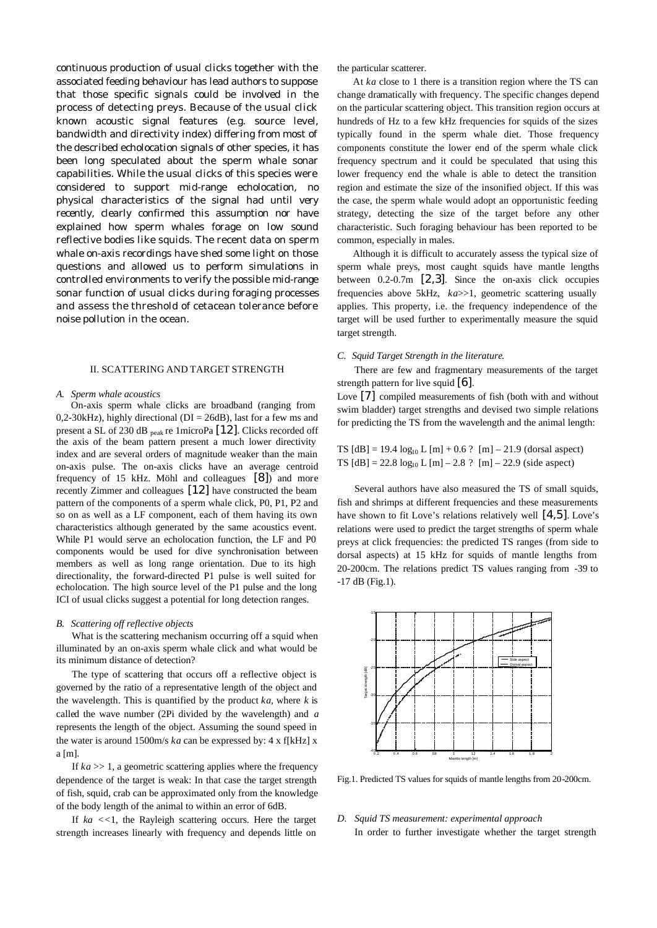continuous production of usual clicks together with the associated feeding behaviour has lead authors to suppose that those specific signals could be involved in the process of detecting preys. Because of the usual click known acoustic signal features (e.g. source level, bandwidth and directivity index) differing from most of the described echolocation signals of other species, it has been long speculated about the sperm whale sonar capabilities. While the usual clicks of this species were considered to support mid-range echolocation, no physical characteristics of the signal had until very recently, clearly confirmed this assumption nor have explained how sperm whales forage on low sound reflective bodies like squids. The recent data on sperm whale on-axis recordings have shed some light on those questions and allowed us to perform simulations in controlled environments to verify the possible mid-range sonar function of usual clicks during foraging processes and assess the threshold of cetacean tolerance before noise pollution in the ocean.

# II. SCATTERING AND TARGET STRENGTH

### *A. Sperm whale acoustics*

On-axis sperm whale clicks are broadband (ranging from 0,2-30kHz), highly directional ( $DI = 26dB$ ), last for a few ms and present a SL of 230 dB peak re 1microPa [12]. Clicks recorded off the axis of the beam pattern present a much lower directivity index and are several orders of magnitude weaker than the main on-axis pulse. The on-axis clicks have an average centroid frequency of 15 kHz. Möhl and colleagues [8]) and more recently Zimmer and colleagues [12] have constructed the beam pattern of the components of a sperm whale click, P0, P1, P2 and so on as well as a LF component, each of them having its own characteristics although generated by the same acoustics event. While P1 would serve an echolocation function, the LF and P0 components would be used for dive synchronisation between members as well as long range orientation. Due to its high directionality, the forward-directed P1 pulse is well suited for echolocation. The high source level of the P1 pulse and the long ICI of usual clicks suggest a potential for long detection ranges.

#### *B. Scattering off reflective objects*

What is the scattering mechanism occurring off a squid when illuminated by an on-axis sperm whale click and what would be its minimum distance of detection?

The type of scattering that occurs off a reflective object is governed by the ratio of a representative length of the object and the wavelength. This is quantified by the product *ka*, where *k* is called the wave number (2Pi divided by the wavelength) and *a* represents the length of the object. Assuming the sound speed in the water is around 1500m/s *ka* can be expressed by: 4 x f[kHz] x a [m].

If  $ka \gg 1$ , a geometric scattering applies where the frequency dependence of the target is weak: In that case the target strength of fish, squid, crab can be approximated only from the knowledge of the body length of the animal to within an error of 6dB.

If  $ka \ll 1$ , the Rayleigh scattering occurs. Here the target strength increases linearly with frequency and depends little on the particular scatterer.

At *ka* close to 1 there is a transition region where the TS can change dramatically with frequency. The specific changes depend on the particular scattering object. This transition region occurs at hundreds of Hz to a few kHz frequencies for squids of the sizes typically found in the sperm whale diet. Those frequency components constitute the lower end of the sperm whale click frequency spectrum and it could be speculated that using this lower frequency end the whale is able to detect the transition region and estimate the size of the insonified object. If this was the case, the sperm whale would adopt an opportunistic feeding strategy, detecting the size of the target before any other characteristic. Such foraging behaviour has been reported to be common, especially in males.

Although it is difficult to accurately assess the typical size of sperm whale preys, most caught squids have mantle lengths between 0.2-0.7m [2,3]. Since the on-axis click occupies frequencies above 5kHz, *ka*>>1, geometric scattering usually applies. This property, i.e. the frequency independence of the target will be used further to experimentally measure the squid target strength.

# *C. Squid Target Strength in the literature*.

There are few and fragmentary measurements of the target strength pattern for live squid [6].

Love [7] compiled measurements of fish (both with and without swim bladder) target strengths and devised two simple relations for predicting the TS from the wavelength and the animal length:

TS  $[dB] = 19.4 \log_{10} L [m] + 0.6$ ?  $[m] - 21.9$  (dorsal aspect) TS  $[dB] = 22.8 \log_{10} L [m] - 2.8$  ?  $[m] - 22.9$  (side aspect)

Several authors have also measured the TS of small squids, fish and shrimps at different frequencies and these measurements have shown to fit Love's relations relatively well  $[4,5]$ . Love's relations were used to predict the target strengths of sperm whale preys at click frequencies: the predicted TS ranges (from side to dorsal aspects) at 15 kHz for squids of mantle lengths from 20-200cm. The relations predict TS values ranging from -39 to -17 dB (Fig.1).



Fig.1. Predicted TS values for squids of mantle lengths from 20-200cm.

## *D. Squid TS measurement: experimental approach* In order to further investigate whether the target strength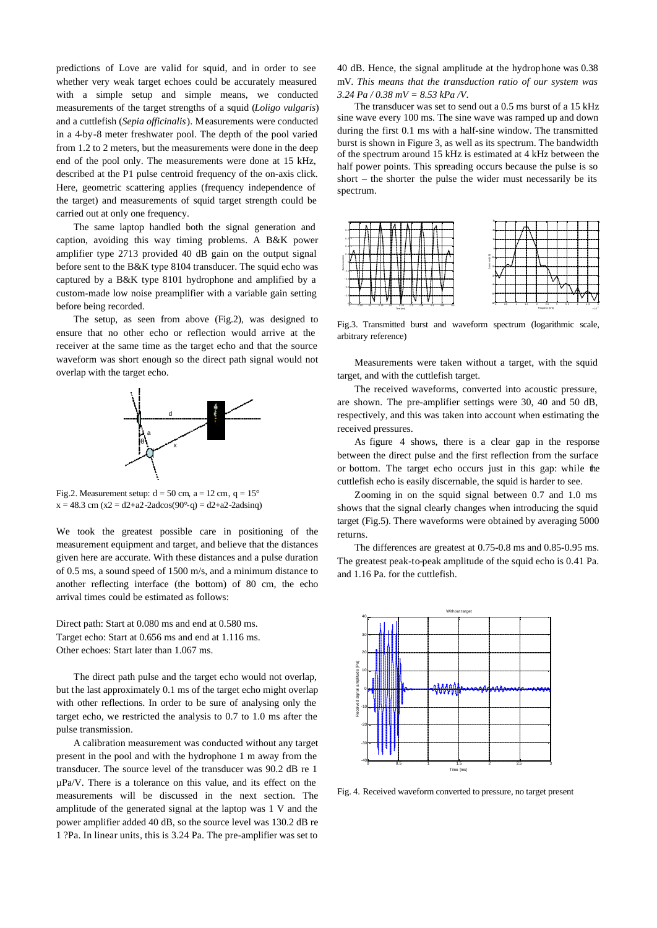predictions of Love are valid for squid, and in order to see whether very weak target echoes could be accurately measured with a simple setup and simple means, we conducted measurements of the target strengths of a squid (*Loligo vulgaris*) and a cuttlefish (*Sepia officinalis*). Measurements were conducted in a 4-by-8 meter freshwater pool. The depth of the pool varied from 1.2 to 2 meters, but the measurements were done in the deep end of the pool only. The measurements were done at 15 kHz, described at the P1 pulse centroid frequency of the on-axis click. Here, geometric scattering applies (frequency independence of the target) and measurements of squid target strength could be carried out at only one frequency.

The same laptop handled both the signal generation and caption, avoiding this way timing problems. A B&K power amplifier type 2713 provided 40 dB gain on the output signal before sent to the B&K type 8104 transducer. The squid echo was captured by a B&K type 8101 hydrophone and amplified by a custom-made low noise preamplifier with a variable gain setting before being recorded.

The setup, as seen from above (Fig.2), was designed to ensure that no other echo or reflection would arrive at the receiver at the same time as the target echo and that the source waveform was short enough so the direct path signal would not overlap with the target echo.



Fig.2. Measurement setup:  $d = 50$  cm,  $a = 12$  cm,  $q = 15^{\circ}$  $x = 48.3$  cm ( $x = d2+a2-2adcos(90^\circ-q) = d2+a2-2adsinq$ )

We took the greatest possible care in positioning of the measurement equipment and target, and believe that the distances given here are accurate. With these distances and a pulse duration of 0.5 ms, a sound speed of 1500 m/s, and a minimum distance to another reflecting interface (the bottom) of 80 cm, the echo arrival times could be estimated as follows:

Direct path: Start at 0.080 ms and end at 0.580 ms. Target echo: Start at 0.656 ms and end at 1.116 ms. Other echoes: Start later than 1.067 ms.

The direct path pulse and the target echo would not overlap, but the last approximately 0.1 ms of the target echo might overlap with other reflections. In order to be sure of analysing only the target echo, we restricted the analysis to 0.7 to 1.0 ms after the pulse transmission.

A calibration measurement was conducted without any target present in the pool and with the hydrophone 1 m away from the transducer. The source level of the transducer was 90.2 dB re 1 µPa/V. There is a tolerance on this value, and its effect on the measurements will be discussed in the next section. The amplitude of the generated signal at the laptop was 1 V and the power amplifier added 40 dB, so the source level was 130.2 dB re 1 ?Pa. In linear units, this is 3.24 Pa. The pre-amplifier was set to

40 dB. Hence, the signal amplitude at the hydrophone was 0.38 mV. *This means that the transduction ratio of our system was 3.24 Pa / 0.38 mV = 8.53 kPa /V*.

The transducer was set to send out a 0.5 ms burst of a 15 kHz sine wave every 100 ms. The sine wave was ramped up and down during the first 0.1 ms with a half-sine window. The transmitted burst is shown in Figure 3, as well as its spectrum. The bandwidth of the spectrum around 15 kHz is estimated at 4 kHz between the half power points. This spreading occurs because the pulse is so short – the shorter the pulse the wider must necessarily be its spectrum.



Fig.3. Transmitted burst and waveform spectrum (logarithmic scale, arbitrary reference)

Measurements were taken without a target, with the squid target, and with the cuttlefish target.

The received waveforms, converted into acoustic pressure, are shown. The pre-amplifier settings were 30, 40 and 50 dB, respectively, and this was taken into account when estimating the received pressures.

As figure 4 shows, there is a clear gap in the response between the direct pulse and the first reflection from the surface or bottom. The target echo occurs just in this gap: while the cuttlefish echo is easily discernable, the squid is harder to see.

Zooming in on the squid signal between 0.7 and 1.0 ms shows that the signal clearly changes when introducing the squid target (Fig.5). There waveforms were obtained by averaging 5000 returns.

The differences are greatest at 0.75-0.8 ms and 0.85-0.95 ms. The greatest peak-to-peak amplitude of the squid echo is 0.41 Pa. and 1.16 Pa. for the cuttlefish.



Fig. 4. Received waveform converted to pressure, no target present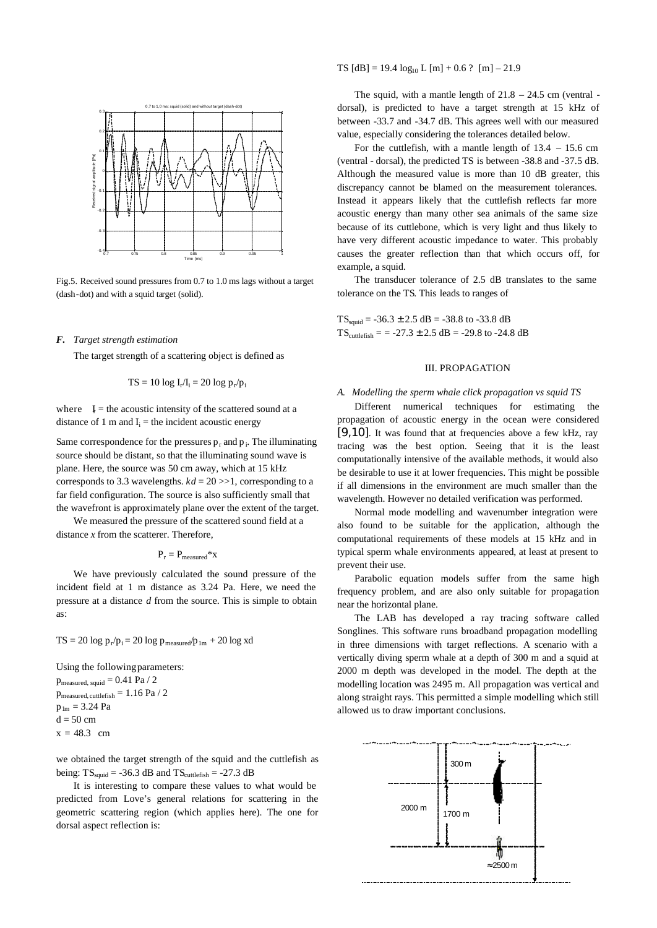

Fig.5. Received sound pressures from 0.7 to 1.0 ms lags without a target (dash-dot) and with a squid target (solid).

### *F. Target strength estimation*

The target strength of a scattering object is defined as

$$
TS = 10 log I_r/I_i = 20 log p_r/p_i
$$

where  $I =$  the acoustic intensity of the scattered sound at a distance of 1 m and  $I_i$  = the incident acoustic energy

Same correspondence for the pressures  $p_r$  and  $p_i$ . The illuminating source should be distant, so that the illuminating sound wave is plane. Here, the source was 50 cm away, which at 15 kHz corresponds to 3.3 wavelengths.  $kd = 20 \gg 1$ , corresponding to a far field configuration. The source is also sufficiently small that the wavefront is approximately plane over the extent of the target.

We measured the pressure of the scattered sound field at a distance *x* from the scatterer. Therefore,

$$
P_r = P_{measured} * x
$$

We have previously calculated the sound pressure of the incident field at 1 m distance as 3.24 Pa. Here, we need the pressure at a distance *d* from the source. This is simple to obtain as:

 $TS = 20 \log p_r / p_i = 20 \log p_{measured} / p_{1m} + 20 \log x d$ 

Using the following parameters:

 $p_{measured, equid} = 0.41$  Pa / 2  $p_{\rm measured,\,cuttefish} = 1.16\ Pa$  /  $2$  $p_{lm} = 3.24$  Pa  $d = 50$  cm  $x = 48.3$  cm

we obtained the target strength of the squid and the cuttlefish as being:  $TS_{\text{solid}} = -36.3$  dB and  $TS_{\text{cutleft}} = -27.3$  dB

It is interesting to compare these values to what would be predicted from Love's general relations for scattering in the geometric scattering region (which applies here). The one for dorsal aspect reflection is:

TS  $[dB] = 19.4 \log_{10} L [m] + 0.6$ ?  $[m] - 21.9$ 

The squid, with a mantle length of  $21.8 - 24.5$  cm (ventral dorsal), is predicted to have a target strength at 15 kHz of between -33.7 and -34.7 dB. This agrees well with our measured value, especially considering the tolerances detailed below.

For the cuttlefish, with a mantle length of  $13.4 - 15.6$  cm (ventral - dorsal), the predicted TS is between -38.8 and -37.5 dB. Although the measured value is more than 10 dB greater, this discrepancy cannot be blamed on the measurement tolerances. Instead it appears likely that the cuttlefish reflects far more acoustic energy than many other sea animals of the same size because of its cuttlebone, which is very light and thus likely to have very different acoustic impedance to water. This probably causes the greater reflection than that which occurs off, for example, a squid.

The transducer tolerance of 2.5 dB translates to the same tolerance on the TS. This leads to ranges of

 $TS_{sould} = -36.3 \pm 2.5$  dB = -38.8 to -33.8 dB  $TS_{\text{cutlefish}} = -27.3 \pm 2.5 \text{ dB} = -29.8 \text{ to } -24.8 \text{ dB}$ 

# III. PROPAGATION

# *A. Modelling the sperm whale click propagation vs squid TS*

Different numerical techniques for estimating the propagation of acoustic energy in the ocean were considered [9,10]. It was found that at frequencies above a few kHz, ray tracing was the best option. Seeing that it is the least computationally intensive of the available methods, it would also be desirable to use it at lower frequencies. This might be possible if all dimensions in the environment are much smaller than the wavelength. However no detailed verification was performed.

Normal mode modelling and wavenumber integration were also found to be suitable for the application, although the computational requirements of these models at 15 kHz and in typical sperm whale environments appeared, at least at present to prevent their use.

Parabolic equation models suffer from the same high frequency problem, and are also only suitable for propagation near the horizontal plane.

The LAB has developed a ray tracing software called Songlines. This software runs broadband propagation modelling in three dimensions with target reflections. A scenario with a vertically diving sperm whale at a depth of 300 m and a squid at 2000 m depth was developed in the model. The depth at the modelling location was 2495 m. All propagation was vertical and along straight rays. This permitted a simple modelling which still allowed us to draw important conclusions.

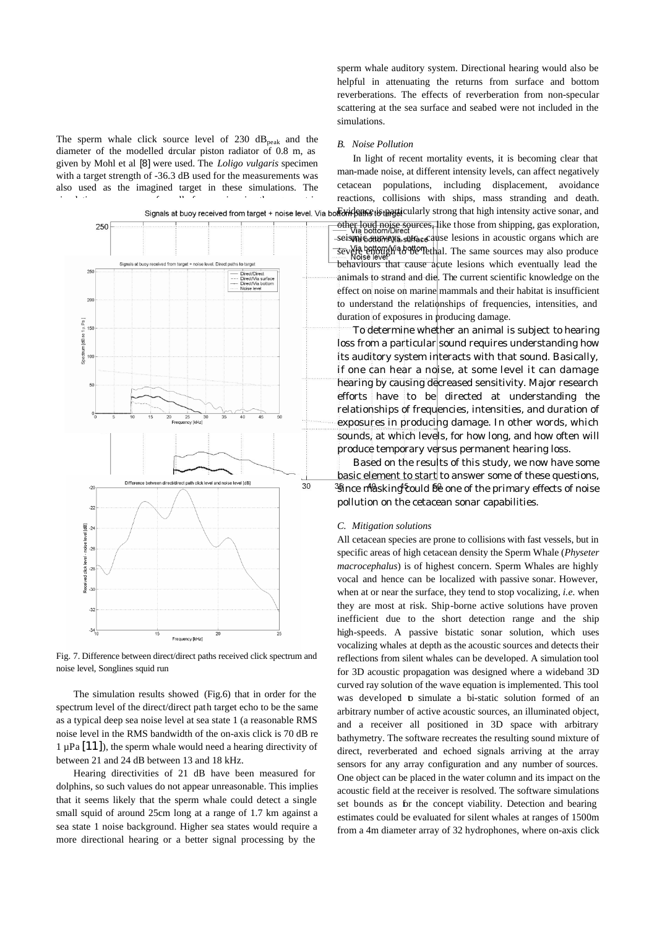The sperm whale click source level of 230  $dB_{peak}$  and the diameter of the modelled circular piston radiator of 0.8 m, as given by Mohl et al [8] were used. The *Loligo vulgaris* specimen with a target strength of -36.3 dB used for the measurements was also used as the imagined target in these simulations. The



Fig. 7. Difference between direct/direct paths received click spectrum and noise level, Songlines squid run

The simulation results showed (Fig.6) that in order for the spectrum level of the direct/direct path target echo to be the same as a typical deep sea noise level at sea state 1 (a reasonable RMS noise level in the RMS bandwidth of the on-axis click is 70 dB re  $1 \mu Pa$  [11]), the sperm whale would need a hearing directivity of between 21 and 24 dB between 13 and 18 kHz.

Hearing directivities of 21 dB have been measured for dolphins, so such values do not appear unreasonable. This implies that it seems likely that the sperm whale could detect a single small squid of around 25cm long at a range of 1.7 km against a sea state 1 noise background. Higher sea states would require a more directional hearing or a better signal processing by the

sperm whale auditory system. Directional hearing would also be helpful in attenuating the returns from surface and bottom reverberations. The effects of reverberation from non-specular scattering at the sea surface and seabed were not included in the simulations.

### *B. Noise Pollution*

In light of recent mortality events, it is becoming clear that man-made noise, at different intensity levels, can affect negatively cetacean populations, including displacement, avoidance reactions, collisions with ships, mass stranding and death.

other loud noise sources, like those from shipping, gas exploration,  $-$ seismic surveys, surface as lesions in acoustic organs which are severe entough a bette methal. The same sources may also produce behaviours that cause acute lesions which eventually lead the animals to strand and die. The current scientific knowledge on the effect on noise on marine mammals and their habitat is insufficient to understand the relationships of frequencies, intensities, and duration of exposures in producing damage.

To determine whether an animal is subject to hearing loss from a particular sound requires understanding how its auditory system interacts with that sound. Basically, if one can hear a noise, at some level it can damage hearing by causing decreased sensitivity. Major research efforts have to be directed at understanding the relationships of frequencies, intensities, and duration of exposures in producing damage. In other words, which sounds, at which levels, for how long, and how often will produce temporary versus permanent hearing loss.

Based on the results of this study, we now have some basic element to start to answer some of these questions,  $\frac{35}{3}$ ince masking could be one of the primary effects of noise pollution on the cetacean sonar capabilities.

# *C. Mitigation solutions*

All cetacean species are prone to collisions with fast vessels, but in specific areas of high cetacean density the Sperm Whale (*Physeter macrocephalus*) is of highest concern. Sperm Whales are highly vocal and hence can be localized with passive sonar. However, when at or near the surface, they tend to stop vocalizing, *i.e.* when they are most at risk. Ship-borne active solutions have proven inefficient due to the short detection range and the ship high-speeds. A passive bistatic sonar solution, which uses vocalizing whales at depth as the acoustic sources and detects their reflections from silent whales can be developed. A simulation tool for 3D acoustic propagation was designed where a wideband 3D curved ray solution of the wave equation is implemented. This tool was developed to simulate a bi-static solution formed of an arbitrary number of active acoustic sources, an illuminated object, and a receiver all positioned in 3D space with arbitrary bathymetry. The software recreates the resulting sound mixture of direct, reverberated and echoed signals arriving at the array sensors for any array configuration and any number of sources. One object can be placed in the water column and its impact on the acoustic field at the receiver is resolved. The software simulations set bounds as for the concept viability. Detection and bearing estimates could be evaluated for silent whales at ranges of 1500m from a 4m diameter array of 32 hydrophones, where on-axis click